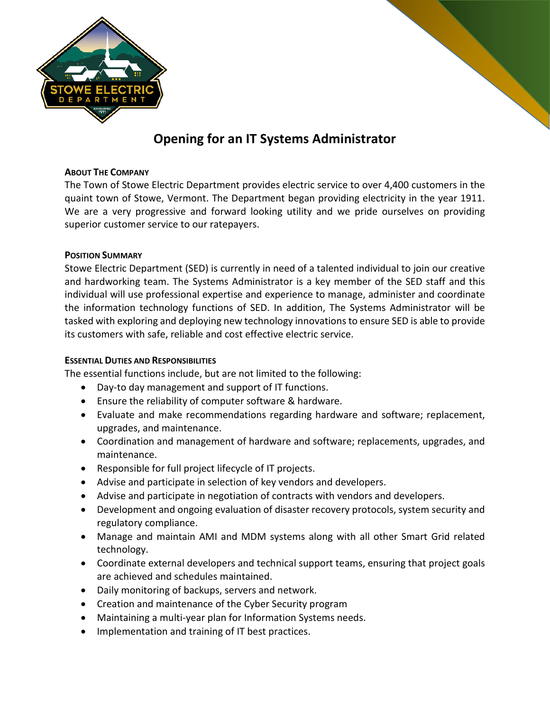

# **Opening for an IT Systems Administrator**

### **ABOUT THE COMPANY**

The Town of Stowe Electric Department provides electric service to over 4,400 customers in the quaint town of Stowe, Vermont. The Department began providing electricity in the year 1911. We are a very progressive and forward looking utility and we pride ourselves on providing superior customer service to our ratepayers.

#### **POSITION SUMMARY**

Stowe Electric Department (SED) is currently in need of a talented individual to join our creative and hardworking team. The Systems Administrator is a key member of the SED staff and this individual will use professional expertise and experience to manage, administer and coordinate the information technology functions of SED. In addition, The Systems Administrator will be tasked with exploring and deploying new technology innovations to ensure SED is able to provide its customers with safe, reliable and cost effective electric service.

### **ESSENTIAL DUTIES AND RESPONSIBILITIES**

The essential functions include, but are not limited to the following:

- Day-to day management and support of IT functions.
- Ensure the reliability of computer software & hardware.
- Evaluate and make recommendations regarding hardware and software; replacement, upgrades, and maintenance.
- Coordination and management of hardware and software; replacements, upgrades, and maintenance.
- Responsible for full project lifecycle of IT projects.
- Advise and participate in selection of key vendors and developers.
- Advise and participate in negotiation of contracts with vendors and developers.
- Development and ongoing evaluation of disaster recovery protocols, system security and regulatory compliance.
- Manage and maintain AMI and MDM systems along with all other Smart Grid related technology.
- Coordinate external developers and technical support teams, ensuring that project goals are achieved and schedules maintained.
- Daily monitoring of backups, servers and network.
- Creation and maintenance of the Cyber Security program
- Maintaining a multi-year plan for Information Systems needs.
- Implementation and training of IT best practices.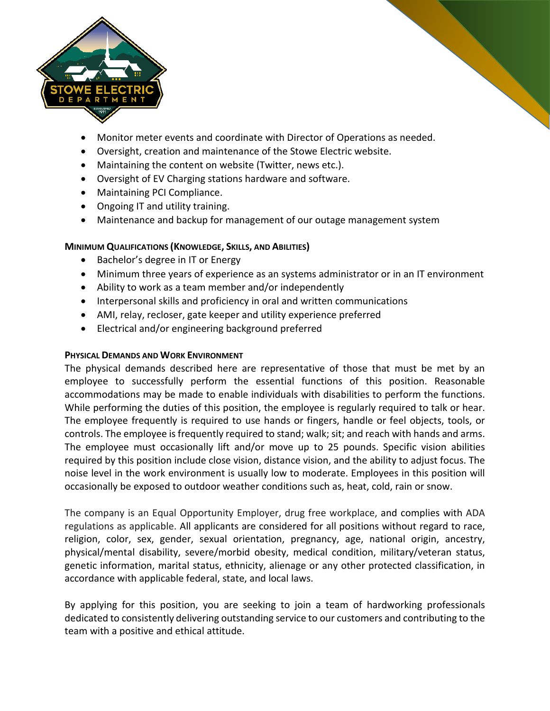

- Monitor meter events and coordinate with Director of Operations as needed.
- Oversight, creation and maintenance of the Stowe Electric website.
- Maintaining the content on website (Twitter, news etc.).
- Oversight of EV Charging stations hardware and software.
- Maintaining PCI Compliance.
- Ongoing IT and utility training.
- Maintenance and backup for management of our outage management system

## **MINIMUM QUALIFICATIONS (KNOWLEDGE, SKILLS, AND ABILITIES)**

- Bachelor's degree in IT or Energy
- Minimum three years of experience as an systems administrator or in an IT environment
- Ability to work as a team member and/or independently
- Interpersonal skills and proficiency in oral and written communications
- AMI, relay, recloser, gate keeper and utility experience preferred
- Electrical and/or engineering background preferred

## **PHYSICAL DEMANDS AND WORK ENVIRONMENT**

The physical demands described here are representative of those that must be met by an employee to successfully perform the essential functions of this position. Reasonable accommodations may be made to enable individuals with disabilities to perform the functions. While performing the duties of this position, the employee is regularly required to talk or hear. The employee frequently is required to use hands or fingers, handle or feel objects, tools, or controls. The employee is frequently required to stand; walk; sit; and reach with hands and arms. The employee must occasionally lift and/or move up to 25 pounds. Specific vision abilities required by this position include close vision, distance vision, and the ability to adjust focus. The noise level in the work environment is usually low to moderate. Employees in this position will occasionally be exposed to outdoor weather conditions such as, heat, cold, rain or snow.

The company is an Equal Opportunity Employer, drug free workplace, and complies with ADA regulations as applicable. All applicants are considered for all positions without regard to race, religion, color, sex, gender, sexual orientation, pregnancy, age, national origin, ancestry, physical/mental disability, severe/morbid obesity, medical condition, military/veteran status, genetic information, marital status, ethnicity, alienage or any other protected classification, in accordance with applicable federal, state, and local laws.

By applying for this position, you are seeking to join a team of hardworking professionals dedicated to consistently delivering outstanding service to our customers and contributing to the team with a positive and ethical attitude.